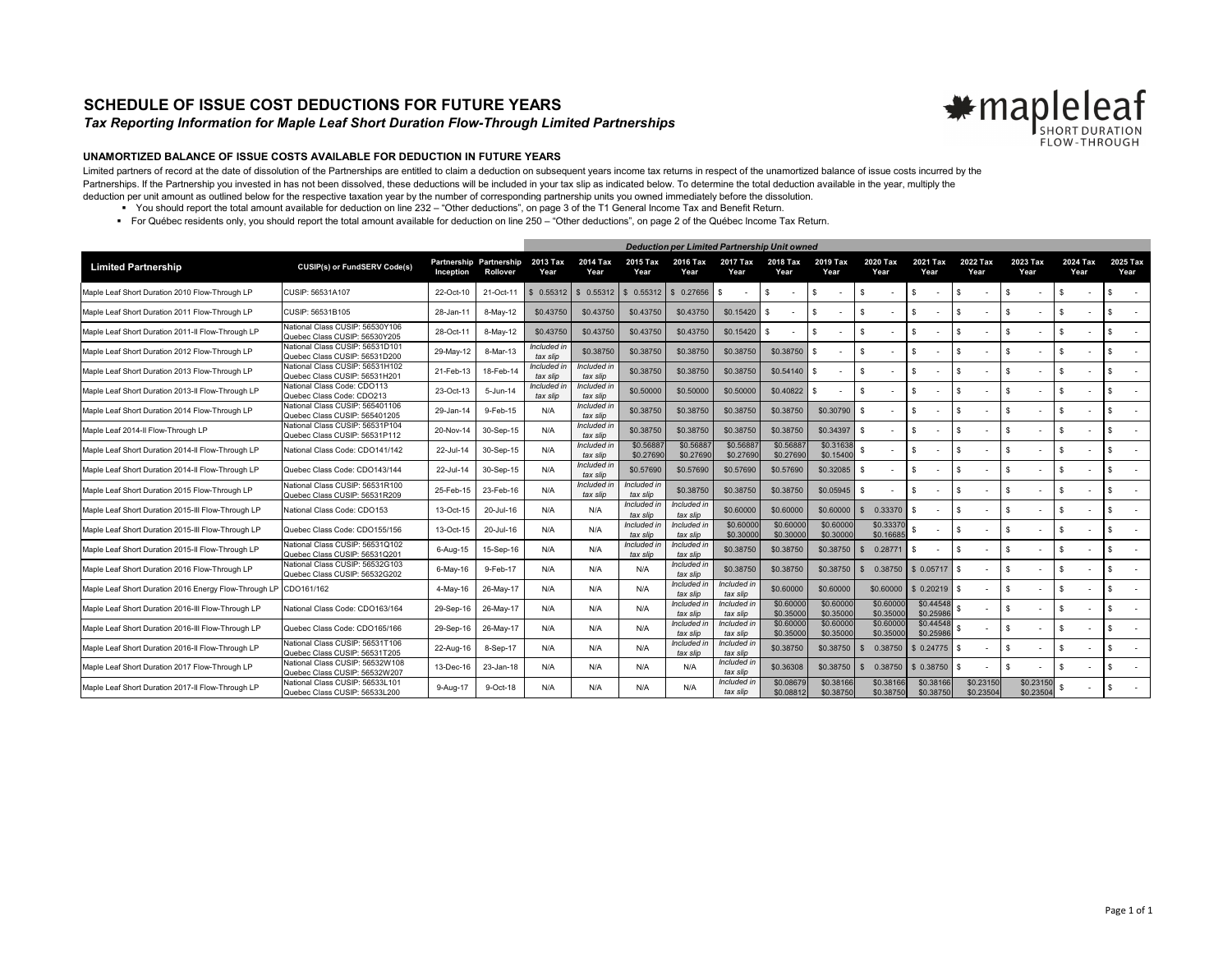## **SCHEDULE OF ISSUE COST DEDUCTIONS FOR FUTURE YEARS**

## *Tax Reporting Information for Maple Leaf Short Duration Flow-Through Limited Partnerships*



## **UNAMORTIZED BALANCE OF ISSUE COSTS AVAILABLE FOR DEDUCTION IN FUTURE YEARS**

Limited partners of record at the date of dissolution of the Partnerships are entitled to claim a deduction on subsequent years income tax returns in respect of the unamortized balance of issue costs incurred by the Partnerships. If the Partnership you invested in has not been dissolved, these deductions will be included in your tax slip as indicated below. To determine the total deduction available in the year, multiply the deduction per unit amount as outlined below for the respective taxation year by the number of corresponding partnership units you owned immediately before the dissolution.

- You should report the total amount available for deduction on line 232 "Other deductions", on page 3 of the T1 General Income Tax and Benefit Return.
- For Québec residents only, you should report the total amount available for deduction on line 250 "Other deductions", on page 2 of the Québec Income Tax Return.

|                                                       |                                                                  | <b>Deduction per Limited Partnership Unit owned</b> |                                     |                        |                         |                             |                         |                         |                        |                        |                         |                        |                                |                        |                  |  |                  |
|-------------------------------------------------------|------------------------------------------------------------------|-----------------------------------------------------|-------------------------------------|------------------------|-------------------------|-----------------------------|-------------------------|-------------------------|------------------------|------------------------|-------------------------|------------------------|--------------------------------|------------------------|------------------|--|------------------|
| <b>Limited Partnership</b>                            | <b>CUSIP(s) or FundSERV Code(s)</b>                              | Inception                                           | Partnership Partnership<br>Rollover | 2013 Tax<br>Year       | 2014 Tax<br>Year        | 2015 Tax<br>Year            | 2016 Tax<br>Year        | 2017 Tax<br>Year        | 2018 Tax<br>Year       | 2019 Tax<br>Year       | 2020 Tax<br>Year        | 2021 Tax<br>Year       | 2022 Tax<br>Year               | 2023 Tax<br>Year       | 2024 Tax<br>Year |  | 2025 Tax<br>Year |
| Maple Leaf Short Duration 2010 Flow-Through LP        | CUSIP: 56531A107                                                 | 22-Oct-10                                           | 21-Oct-11                           | 0.55312                | \$0.55312               | 0.55312                     | \$0.27656               | - \$                    | \$                     | s.                     | - \$                    | -S                     | \$.<br>$\sim$                  |                        | <b>S</b>         |  |                  |
| Maple Leaf Short Duration 2011 Flow-Through LP        | CUSIP: 56531B105                                                 | 28-Jan-11                                           | 8-May-12                            | \$0.43750              | \$0.43750               | \$0.43750                   | \$0.43750               | \$0.15420               | -S                     | \$.                    | -S                      | -S                     | \$<br>$\overline{\phantom{a}}$ |                        | <b>s</b>         |  |                  |
| Maple Leaf Short Duration 2011-Il Flow-Through LP     | National Class CUSIP: 56530Y106<br>Quebec Class CUSIP: 56530Y205 | 28-Oct-1                                            | 8-May-12                            | \$0.43750              | \$0.43750               | \$0.43750                   | \$0.43750               | \$0.15420               | \$                     | \$.                    | <sup>\$</sup>           | -S                     | $\overline{\phantom{a}}$       | s.                     | <sup>S</sup>     |  |                  |
| Maple Leaf Short Duration 2012 Flow-Through LP        | National Class CUSIP: 56531D101<br>Quebec Class CUSIP: 56531D200 | 29-May-12                                           | 8-Mar-13                            | Included i<br>tax slip | \$0,38750               | \$0.38750                   | \$0,38750               | \$0.38750               | \$0.38750              | -S                     | -8                      | -S                     |                                | s.                     | -S               |  |                  |
| Maple Leaf Short Duration 2013 Flow-Through LP        | National Class CUSIP: 56531H102<br>Quebec Class CUSIP: 56531H201 | 21-Feb-13                                           | 18-Feb-14                           | Included i<br>tax slip | Included in<br>tax slip | \$0.38750                   | \$0,38750               | \$0,38750               | \$0.54140              | $\mathbf{s}$           | \$                      | -S                     | \$                             |                        | <b>S</b>         |  |                  |
| Maple Leaf Short Duration 2013-II Flow-Through LP     | National Class Code: CDO113<br>Quebec Class Code: CDO213         | 23-Oct-13                                           | 5-Jun-14                            | Included i<br>tax slip | Included in<br>tax slip | \$0,50000                   | \$0,50000               | \$0,50000               | \$0.40822              | \$.                    | -8                      | -S                     |                                |                        | \$.              |  |                  |
| Maple Leaf Short Duration 2014 Flow-Through LP        | National Class CUSIP: 565401106<br>Quebec Class CUSIP: 565401205 | 29-Jan-14                                           | 9-Feb-15                            | N/A                    | Included ir<br>tax slip | \$0.38750                   | \$0,38750               | \$0.38750               | \$0.38750              | \$0,30790              |                         |                        |                                |                        | $\mathbf{s}$     |  |                  |
| Maple Leaf 2014-II Flow-Through LP                    | National Class CUSIP: 56531P104<br>Quebec Class CUSIP: 56531P112 | 20-Nov-14                                           | 30-Sep-15                           | N/A                    | Included in<br>tax slip | \$0.38750                   | \$0.38750               | \$0,38750               | \$0.38750              | \$0.34397              | -8                      | -S                     |                                |                        | \$.              |  |                  |
| Maple Leaf Short Duration 2014-II Flow-Through LP     | National Class Code: CDO141/142                                  | 22-Jul-14                                           | 30-Sep-15                           | N/A                    | Included in<br>tax slip | \$0,5688<br>\$0.27690       | \$0.5688<br>\$0,27690   | \$0,5688<br>\$0.27690   | \$0.5688<br>\$0.27690  | \$0.31638<br>\$0.1540  |                         | -S                     | \$<br>$\sim$                   |                        | \$.              |  |                  |
| Maple Leaf Short Duration 2014-Il Flow-Through LP     | Quebec Class Code: CDO143/144                                    | 22-Jul-14                                           | 30-Sep-15                           | N/A                    | Included in<br>tax slip | \$0.57690                   | \$0.57690               | \$0.57690               | \$0.57690              | \$0.32085              | S                       | -S                     |                                |                        | \$.              |  |                  |
| Maple Leaf Short Duration 2015 Flow-Through LP        | National Class CUSIP: 56531R100<br>Quebec Class CUSIP: 56531R209 | 25-Feb-15                                           | 23-Feb-16                           | N/A                    | Included i<br>tax slip  | ncluded<br>tax slip         | \$0.38750               | \$0.38750               | \$0.38750              | \$0.05945              |                         | -S                     | \$<br>$\overline{\phantom{a}}$ |                        | \$.              |  |                  |
| Maple Leaf Short Duration 2015-III Flow-Through LP    | National Class Code: CDO153                                      | 13-Oct-15                                           | 20-Jul-16                           | N/A                    | N/A                     | Included<br>tax slip        | Included ir<br>tax slip | \$0.60000               | \$0,60000              | \$0,60000              | 0.33370<br>$\mathbf{s}$ |                        |                                | S.                     | <b>s</b>         |  |                  |
| Maple Leaf Short Duration 2015-III Flow-Through LP    | Quebec Class Code: CDO155/156                                    | 13-Oct-15                                           | 20-Jul-16                           | N/A                    | N/A                     | Included<br>tax slip        | Included ii<br>tax slip | \$0,6000<br>\$0.30000   | \$0,60000<br>\$0.30000 | \$0,6000<br>\$0,30000  | \$0.3337<br>\$0.1668    |                        | \$                             | s.                     | \$               |  |                  |
| Maple Leaf Short Duration 2015-Il Flow-Through LP     | Vational Class CUSIP: 56531Q102<br>Quebec Class CUSIP: 56531Q201 | 6-Aug-15                                            | 15-Sep-16                           | N/A                    | N/A                     | <b>Included</b><br>tax slip | Included i<br>tax slip  | \$0.38750               | \$0.38750              | \$0.38750              | 0.28771<br>\$.          | -S                     | $\overline{\phantom{a}}$       |                        | \$.              |  |                  |
| Maple Leaf Short Duration 2016 Flow-Through LP        | National Class CUSIP: 56532G103<br>Quebec Class CUSIP: 56532G202 | 6-May-16                                            | 9-Feb-17                            | N/A                    | N/A                     | N/A                         | Included ir<br>tax slip | \$0.38750               | \$0.38750              | \$0.38750              | 0.38750<br>$\mathbf{s}$ | \$0.05717              |                                |                        | \$.              |  |                  |
| Maple Leaf Short Duration 2016 Energy Flow-Through LP | CDO161/162                                                       | 4-May-16                                            | 26-May-17                           | N/A                    | N/A                     | N/A                         | Included ir<br>tax slip | Included i<br>tax slip  | \$0.60000              | \$0,60000              | \$0,60000               | \$0.20219              | \$                             |                        | <b>S</b>         |  |                  |
| Maple Leaf Short Duration 2016-III Flow-Through LP    | National Class Code: CDO163/164                                  | 29-Sep-16                                           | 26-May-17                           | N/A                    | N/A                     | N/A                         | Included ii<br>tax slip | Included i<br>tax slip  | \$0,60000<br>\$0,35000 | \$0,6000<br>\$0,3500   | \$0,6000<br>\$0,35000   | \$0.44548<br>\$0,2598  |                                |                        |                  |  |                  |
| Maple Leaf Short Duration 2016-III Flow-Through LP    | Quebec Class Code: CDO165/166                                    | 29-Sep-16                                           | 26-May-17                           | N/A                    | N/A                     | N/A                         | Included ir<br>tax slip | Included i<br>tax slip  | \$0.60000<br>\$0.35000 | \$0.6000<br>\$0.35000  | \$0.6000<br>\$0.3500    | \$0.44548<br>\$0.25986 |                                |                        | <b>S</b>         |  |                  |
| Maple Leaf Short Duration 2016-II Flow-Through LP     | Vational Class CUSIP: 56531T106<br>Quebec Class CUSIP: 56531T205 | 22-Aug-16                                           | 8-Sep-17                            | N/A                    | N/A                     | N/A                         | Included i<br>tax slip  | Included i<br>tax slip  | \$0.38750              | \$0.38750              | 0.38750                 | \$ 0.24775             | $\overline{\phantom{a}}$       |                        | \$               |  |                  |
| Maple Leaf Short Duration 2017 Flow-Through LP        | National Class CUSIP: 56532W108<br>Quebec Class CUSIP: 56532W207 | 13-Dec-16                                           | 23-Jan-18                           | N/A                    | N/A                     | N/A                         | N/A                     | Included i<br>tax slip  | \$0.36308              | \$0.38750              | 0.38750<br>$\mathbf{s}$ | \$ 0.38750             |                                | \$                     | $\mathbf{s}$     |  |                  |
| Maple Leaf Short Duration 2017-Il Flow-Through LP     | National Class CUSIP: 56533L101<br>Quebec Class CUSIP: 56533L200 | 9-Aug-17                                            | 9-Oct-18                            | N/A                    | N/A                     | N/A                         | N/A                     | Included in<br>tax slip | \$0.08679<br>\$0.08812 | \$0.38166<br>\$0.38750 | \$0.38166<br>\$0.38750  | \$0.38166<br>\$0.38750 | \$0.23150<br>\$0.23504         | \$0.23150<br>\$0.23504 |                  |  |                  |